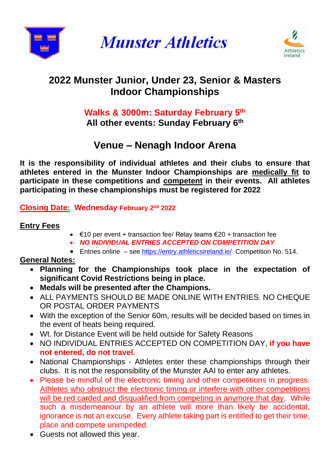

**Munster Athletics** 



# **2022 Munster Junior, Under 23, Senior & Masters Indoor Championships**

# **Walks & 3000m: Saturday February 5 th All other events: Sunday February 6 th**

# **Venue – Nenagh Indoor Arena**

**It is the responsibility of individual athletes and their clubs to ensure that athletes entered in the Munster Indoor Championships are medically fit to participate in these competitions and competent in their events. All athletes participating in these championships must be registered for 2022**

# **Closing Date: Wednesday February 2 nd 2022**

#### **Entry Fees**

- €10 per event + transaction fee/ Relay teams €20 + transaction fee
- *NO INDIVIDUAL ENTRIES ACCEPTED ON COMPETITION DAY*
- Entries online see<https://entry.athleticsireland.ie/>Competition No. 514.

# **General Notes:**

- **Planning for the Championships took place in the expectation of significant Covid Restrictions being in place.**
- **Medals will be presented after the Champions.**
- ALL PAYMENTS SHOULD BE MADE ONLINE WITH ENTRIES. NO CHEQUE OR POSTAL ORDER PAYMENTS
- With the exception of the Senior 60m, results will be decided based on times in the event of heats being required.
- Wt. for Distance Event will be held outside for Safety Reasons
- NO INDIVIDUAL ENTRIES ACCEPTED ON COMPETITION DAY, **if you have not entered, do not travel.**
- National Championships Athletes enter these championships through their clubs. It is not the responsibility of the Munster AAI to enter any athletes.
- Please be mindful of the electronic timing and other competitions in progress. Athletes who obstruct the electronic timing or interfere with other competitions will be red carded and disqualified from competing in anymore that day. While such a misdemeanour by an athlete will more than likely be accidental, ignorance is not an excuse. Every athlete taking part is entitled to get their time, place and compete unimpeded.
- Guests not allowed this year.